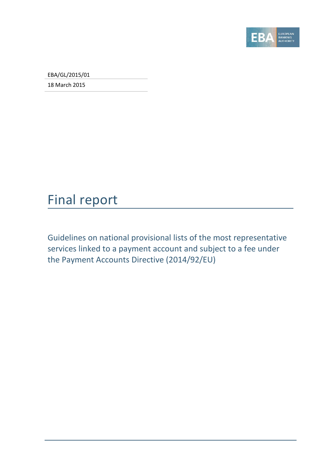

EBA/GL/2015/01

18 March 2015

# Final report

Guidelines on national provisional lists of the most representative services linked to a payment account and subject to a fee under the Payment Accounts Directive (2014/92/EU)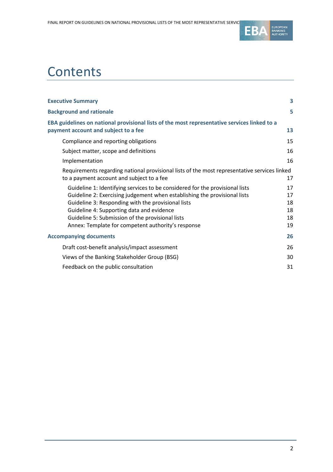

# **Contents**

| <b>Executive Summary</b>                                                                                                                                                                                                                                                                                                                                               | 3                                |
|------------------------------------------------------------------------------------------------------------------------------------------------------------------------------------------------------------------------------------------------------------------------------------------------------------------------------------------------------------------------|----------------------------------|
| <b>Background and rationale</b>                                                                                                                                                                                                                                                                                                                                        | 5                                |
| EBA guidelines on national provisional lists of the most representative services linked to a<br>payment account and subject to a fee                                                                                                                                                                                                                                   | 13                               |
| Compliance and reporting obligations                                                                                                                                                                                                                                                                                                                                   | 15                               |
| Subject matter, scope and definitions                                                                                                                                                                                                                                                                                                                                  | 16                               |
| Implementation                                                                                                                                                                                                                                                                                                                                                         | 16                               |
| Requirements regarding national provisional lists of the most representative services linked<br>to a payment account and subject to a fee                                                                                                                                                                                                                              | 17                               |
| Guideline 1: Identifying services to be considered for the provisional lists<br>Guideline 2: Exercising judgement when establishing the provisional lists<br>Guideline 3: Responding with the provisional lists<br>Guideline 4: Supporting data and evidence<br>Guideline 5: Submission of the provisional lists<br>Annex: Template for competent authority's response | 17<br>17<br>18<br>18<br>18<br>19 |
| <b>Accompanying documents</b>                                                                                                                                                                                                                                                                                                                                          | 26                               |
| Draft cost-benefit analysis/impact assessment                                                                                                                                                                                                                                                                                                                          | 26                               |
| Views of the Banking Stakeholder Group (BSG)                                                                                                                                                                                                                                                                                                                           | 30                               |
| Feedback on the public consultation                                                                                                                                                                                                                                                                                                                                    | 31                               |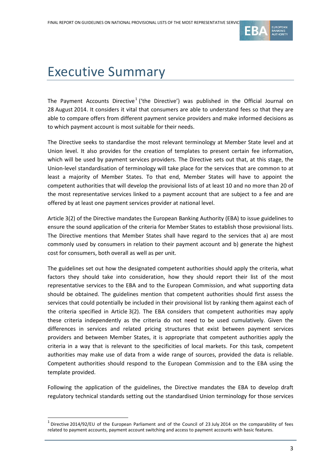

# <span id="page-2-0"></span>Executive Summary

The Payment Accounts Directive<sup>[1](#page-2-1)</sup> ('the Directive') was published in the Official Journal on 28 August 2014. It considers it vital that consumers are able to understand fees so that they are able to compare offers from different payment service providers and make informed decisions as to which payment account is most suitable for their needs.

The Directive seeks to standardise the most relevant terminology at Member State level and at Union level. It also provides for the creation of templates to present certain fee information, which will be used by payment services providers. The Directive sets out that, at this stage, the Union-level standardisation of terminology will take place for the services that are common to at least a majority of Member States. To that end, Member States will have to appoint the competent authorities that will develop the provisional lists of at least 10 and no more than 20 of the most representative services linked to a payment account that are subject to a fee and are offered by at least one payment services provider at national level.

Article 3(2) of the Directive mandates the European Banking Authority (EBA) to issue guidelines to ensure the sound application of the criteria for Member States to establish those provisional lists. The Directive mentions that Member States shall have regard to the services that a) are most commonly used by consumers in relation to their payment account and b) generate the highest cost for consumers, both overall as well as per unit.

The guidelines set out how the designated competent authorities should apply the criteria, what factors they should take into consideration, how they should report their list of the most representative services to the EBA and to the European Commission, and what supporting data should be obtained. The guidelines mention that competent authorities should first assess the services that could potentially be included in their provisional list by ranking them against each of the criteria specified in Article 3(2). The EBA considers that competent authorities may apply these criteria independently as the criteria do not need to be used cumulatively. Given the differences in services and related pricing structures that exist between payment services providers and between Member States, it is appropriate that competent authorities apply the criteria in a way that is relevant to the specificities of local markets. For this task, competent authorities may make use of data from a wide range of sources, provided the data is reliable. Competent authorities should respond to the European Commission and to the EBA using the template provided.

Following the application of the guidelines, the Directive mandates the EBA to develop draft regulatory technical standards setting out the standardised Union terminology for those services

 $\overline{a}$ 

<span id="page-2-1"></span> $1$  Directive 2014/92/EU of the European Parliament and of the Council of 23 July 2014 on the comparability of fees related to payment accounts, payment account switching and access to payment accounts with basic features.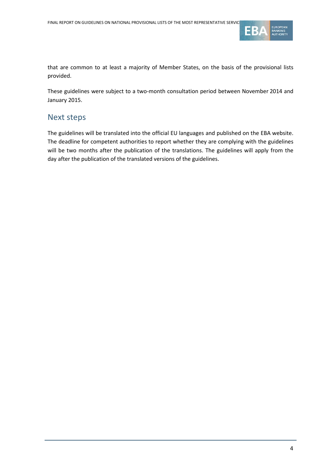

that are common to at least a majority of Member States, on the basis of the provisional lists provided.

These guidelines were subject to a two-month consultation period between November 2014 and January 2015.

### Next steps

The guidelines will be translated into the official EU languages and published on the EBA website. The deadline for competent authorities to report whether they are complying with the guidelines will be two months after the publication of the translations. The guidelines will apply from the day after the publication of the translated versions of the guidelines.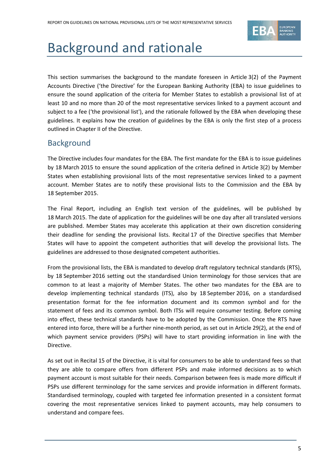

# <span id="page-4-0"></span>Background and rationale

This section summarises the background to the mandate foreseen in Article 3(2) of the Payment Accounts Directive ('the Directive' for the European Banking Authority (EBA) to issue guidelines to ensure the sound application of the criteria for Member States to establish a provisional list of at least 10 and no more than 20 of the most representative services linked to a payment account and subject to a fee ('the provisional list'), and the rationale followed by the EBA when developing these guidelines. It explains how the creation of guidelines by the EBA is only the first step of a process outlined in Chapter II of the Directive.

### **Background**

The Directive includes four mandates for the EBA. The first mandate for the EBA is to issue guidelines by 18 March 2015 to ensure the sound application of the criteria defined in Article 3(2) by Member States when establishing provisional lists of the most representative services linked to a payment account. Member States are to notify these provisional lists to the Commission and the EBA by 18 September 2015.

The Final Report, including an English text version of the guidelines, will be published by 18 March 2015. The date of application for the guidelines will be one day after all translated versions are published. Member States may accelerate this application at their own discretion considering their deadline for sending the provisional lists. Recital 17 of the Directive specifies that Member States will have to appoint the competent authorities that will develop the provisional lists. The guidelines are addressed to those designated competent authorities.

From the provisional lists, the EBA is mandated to develop draft regulatory technical standards (RTS), by 18 September 2016 setting out the standardised Union terminology for those services that are common to at least a majority of Member States. The other two mandates for the EBA are to develop implementing technical standards (ITS), also by 18 September 2016, on a standardised presentation format for the fee information document and its common symbol and for the statement of fees and its common symbol. Both ITSs will require consumer testing. Before coming into effect, these technical standards have to be adopted by the Commission. Once the RTS have entered into force, there will be a further nine-month period, as set out in Article 29(2), at the end of which payment service providers (PSPs) will have to start providing information in line with the Directive.

As set out in Recital 15 of the Directive, it is vital for consumers to be able to understand fees so that they are able to compare offers from different PSPs and make informed decisions as to which payment account is most suitable for their needs. Comparison between fees is made more difficult if PSPs use different terminology for the same services and provide information in different formats. Standardised terminology, coupled with targeted fee information presented in a consistent format covering the most representative services linked to payment accounts, may help consumers to understand and compare fees.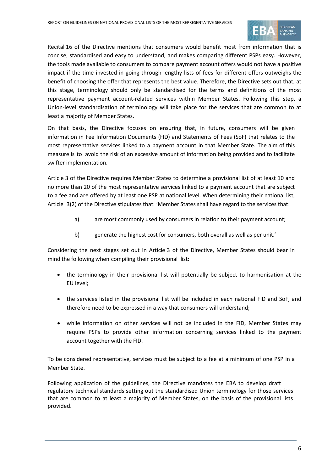

Recital 16 of the Directive mentions that consumers would benefit most from information that is concise, standardised and easy to understand, and makes comparing different PSPs easy. However, the tools made available to consumers to compare payment account offers would not have a positive impact if the time invested in going through lengthy lists of fees for different offers outweighs the benefit of choosing the offer that represents the best value. Therefore, the Directive sets out that, at this stage, terminology should only be standardised for the terms and definitions of the most representative payment account-related services within Member States. Following this step, a Union-level standardisation of terminology will take place for the services that are common to at least a majority of Member States.

On that basis, the Directive focuses on ensuring that, in future, consumers will be given information in Fee Information Documents (FID) and Statements of Fees (SoF) that relates to the most representative services linked to a payment account in that Member State. The aim of this measure is to avoid the risk of an excessive amount of information being provided and to facilitate swifter implementation.

Article 3 of the Directive requires Member States to determine a provisional list of at least 10 and no more than 20 of the most representative services linked to a payment account that are subject to a fee and are offered by at least one PSP at national level. When determining their national list, Article 3(2) of the Directive stipulates that: 'Member States shall have regard to the services that:

- a) are most commonly used by consumers in relation to their payment account;
- b) generate the highest cost for consumers, both overall as well as per unit.'

Considering the next stages set out in Article 3 of the Directive, Member States should bear in mind the following when compiling their provisional list:

- the terminology in their provisional list will potentially be subject to harmonisation at the EU level;
- the services listed in the provisional list will be included in each national FID and SoF, and therefore need to be expressed in a way that consumers will understand;
- while information on other services will not be included in the FID, Member States may require PSPs to provide other information concerning services linked to the payment account together with the FID.

To be considered representative, services must be subject to a fee at a minimum of one PSP in a Member State.

Following application of the guidelines, the Directive mandates the EBA to develop draft regulatory technical standards setting out the standardised Union terminology for those services that are common to at least a majority of Member States, on the basis of the provisional lists provided.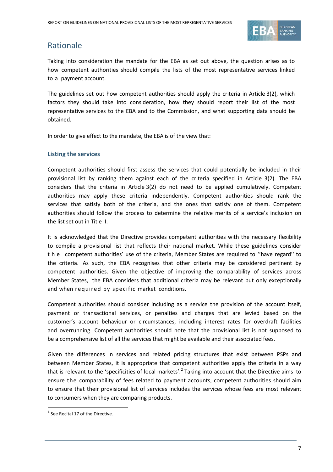

## Rationale

Taking into consideration the mandate for the EBA as set out above, the question arises as to how competent authorities should compile the lists of the most representative services linked to a payment account.

The guidelines set out how competent authorities should apply the criteria in Article 3(2), which factors they should take into consideration, how they should report their list of the most representative services to the EBA and to the Commission, and what supporting data should be obtained.

In order to give effect to the mandate, the EBA is of the view that:

#### **Listing the services**

Competent authorities should first assess the services that could potentially be included in their provisional list by ranking them against each of the criteria specified in Article 3(2). The EBA considers that the criteria in Article 3(2) do not need to be applied cumulatively. Competent authorities may apply these criteria independently. Competent authorities should rank the services that satisfy both of the criteria, and the ones that satisfy one of them. Competent authorities should follow the process to determine the relative merits of a service's inclusion on the list set out in Title II.

It is acknowledged that the Directive provides competent authorities with the necessary flexibility to compile a provisional list that reflects their national market. While these guidelines consider the competent authorities' use of the criteria, Member States are required to ''have regard'' to the criteria. As such, the EBA recognises that other criteria may be considered pertinent by competent authorities. Given the objective of improving the comparability of services across Member States, the EBA considers that additional criteria may be relevant but only exceptionally and when required by specific market conditions.

Competent authorities should consider including as a service the provision of the account itself, payment or transactional services, or penalties and charges that are levied based on the customer's account behaviour or circumstances, including interest rates for overdraft facilities and overrunning. Competent authorities should note that the provisional list is not supposed to be a comprehensive list of all the services that might be available and their associated fees.

Given the differences in services and related pricing structures that exist between PSPs and between Member States, it is appropriate that competent authorities apply the criteria in a way that is relevant to the 'specificities of local markets'.<sup>[2](#page-6-0)</sup> Taking into account that the Directive aims to ensure the comparability of fees related to payment accounts, competent authorities should aim to ensure that their provisional list of services includes the services whose fees are most relevant to consumers when they are comparing products.

 $\overline{a}$ 

<span id="page-6-0"></span> $2$  See Recital 17 of the Directive.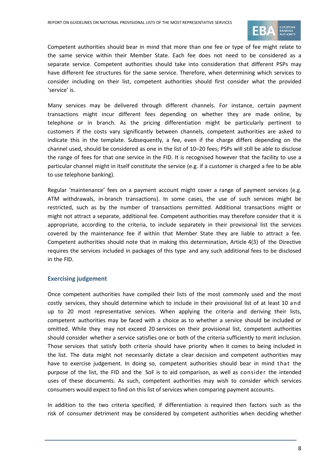

Competent authorities should bear in mind that more than one fee or type of fee might relate to the same service within their Member State. Each fee does not need to be considered as a separate service. Competent authorities should take into consideration that different PSPs may have different fee structures for the same service. Therefore, when determining which services to consider including on their list, competent authorities should first consider what the provided 'service' is.

Many services may be delivered through different channels. For instance, certain payment transactions might incur different fees depending on whether they are made online, by telephone or in branch. As the pricing differentiation might be particularly pertinent to customers if the costs vary significantly between channels, competent authorities are asked to indicate this in the template. Subsequently, a fee, even if the charge differs depending on the channel used, should be considered as one in the list of 10–20 fees; PSPs will still be able to disclose the range of fees for that one service in the FID. It is recognised however that the facility to use a particular channel might in itself constitute the service (e.g. if a customer is charged a fee to be able to use telephone banking).

Regular 'maintenance' fees on a payment account might cover a range of payment services (e.g. ATM withdrawals, in-branch transactions). In some cases, the use of such services might be restricted, such as by the number of transactions permitted. Additional transactions might or might not attract a separate, additional fee. Competent authorities may therefore consider that it is appropriate, according to the criteria, to include separately in their provisional list the services covered by the maintenance fee if within that Member State they are liable to attract a fee. Competent authorities should note that in making this determination, Article 4(3) of the Directive requires the services included in packages of this type and any such additional fees to be disclosed in the FID.

#### **Exercising judgement**

Once competent authorities have compiled their lists of the most commonly used and the most costly services, they should determine which to include in their provisional list of at least 10 and up to 20 most representative services. When applying the criteria and deriving their lists, competent authorities may be faced with a choice as to whether a service should be included or omitted. While they may not exceed 20 services on their provisional list, competent authorities should consider whether a service satisfies one or both of the criteria sufficiently to merit inclusion. Those services that satisfy both criteria should have priority when it comes to being included in the list. The data might not necessarily dictate a clear decision and competent authorities may have to exercise judgement. In doing so, competent authorities should bear in mind that the purpose of the list, the FID and the SoF is to aid comparison, as well as consider the intended uses of these documents. As such, competent authorities may wish to consider which services consumers would expect to find on this list of services when comparing payment accounts.

In addition to the two criteria specified, if differentiation is required then factors such as the risk of consumer detriment may be considered by competent authorities when deciding whether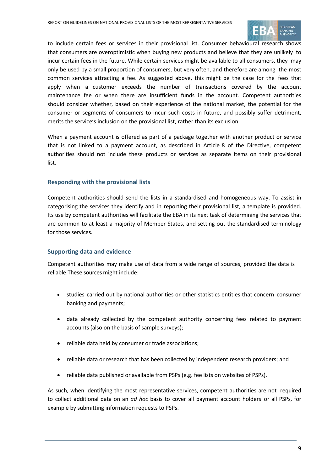

to include certain fees or services in their provisional list. Consumer behavioural research shows that consumers are overoptimistic when buying new products and believe that they are unlikely to incur certain fees in the future. While certain services might be available to all consumers, they may only be used by a small proportion of consumers, but very often, and therefore are among the most common services attracting a fee. As suggested above, this might be the case for the fees that apply when a customer exceeds the number of transactions covered by the account maintenance fee or when there are insufficient funds in the account. Competent authorities should consider whether, based on their experience of the national market, the potential for the consumer or segments of consumers to incur such costs in future, and possibly suffer detriment, merits the service's inclusion on the provisional list, rather than its exclusion.

When a payment account is offered as part of a package together with another product or service that is not linked to a payment account, as described in Article 8 of the Directive, competent authorities should not include these products or services as separate items on their provisional list.

#### **Responding with the provisional lists**

Competent authorities should send the lists in a standardised and homogeneous way. To assist in categorising the services they identify and in reporting their provisional list, a template is provided. Its use by competent authorities will facilitate the EBA in its next task of determining the services that are common to at least a majority of Member States, and setting out the standardised terminology for those services.

#### **Supporting data and evidence**

Competent authorities may make use of data from a wide range of sources, provided the data is reliable.These sources might include:

- studies carried out by national authorities or other statistics entities that concern consumer banking and payments;
- data already collected by the competent authority concerning fees related to payment accounts (also on the basis of sample surveys);
- reliable data held by consumer or trade associations;
- reliable data or research that has been collected by independent research providers; and
- reliable data published or available from PSPs (e.g. fee lists on websites of PSPs).

As such, when identifying the most representative services, competent authorities are not required to collect additional data on an *ad hoc* basis to cover all payment account holders or all PSPs, for example by submitting information requests to PSPs.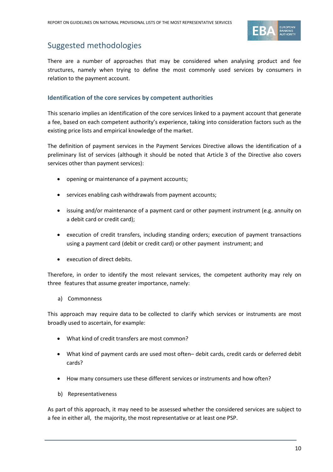

## Suggested methodologies

There are a number of approaches that may be considered when analysing product and fee structures, namely when trying to define the most commonly used services by consumers in relation to the payment account.

#### **Identification of the core services by competent authorities**

This scenario implies an identification of the core services linked to a payment account that generate a fee, based on each competent authority's experience, taking into consideration factors such as the existing price lists and empirical knowledge of the market.

The definition of payment services in the Payment Services Directive allows the identification of a preliminary list of services (although it should be noted that Article 3 of the Directive also covers services other than payment services):

- opening or maintenance of a payment accounts;
- services enabling cash withdrawals from payment accounts;
- issuing and/or maintenance of a payment card or other payment instrument (e.g. annuity on a debit card or credit card);
- execution of credit transfers, including standing orders; execution of payment transactions using a payment card (debit or credit card) or other payment instrument; and
- execution of direct debits.

Therefore, in order to identify the most relevant services, the competent authority may rely on three features that assume greater importance, namely:

a) Commonness

This approach may require data to be collected to clarify which services or instruments are most broadly used to ascertain, for example:

- What kind of credit transfers are most common?
- What kind of payment cards are used most often– debit cards, credit cards or deferred debit cards?
- How many consumers use these different services or instruments and how often?
- b) Representativeness

As part of this approach, it may need to be assessed whether the considered services are subject to a fee in either all, the majority, the most representative or at least one PSP.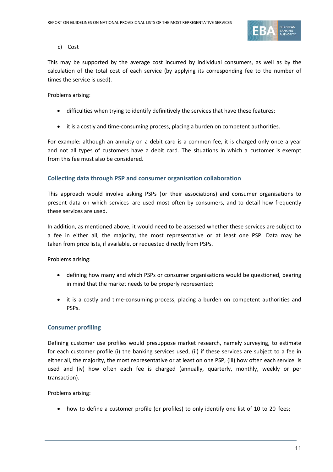

c) Cost

This may be supported by the average cost incurred by individual consumers, as well as by the calculation of the total cost of each service (by applying its corresponding fee to the number of times the service is used).

#### Problems arising:

- difficulties when trying to identify definitively the services that have these features;
- it is a costly and time-consuming process, placing a burden on competent authorities.

For example: although an annuity on a debit card is a common fee, it is charged only once a year and not all types of customers have a debit card. The situations in which a customer is exempt from this fee must also be considered.

#### **Collecting data through PSP and consumer organisation collaboration**

This approach would involve asking PSPs (or their associations) and consumer organisations to present data on which services are used most often by consumers, and to detail how frequently these services are used.

In addition, as mentioned above, it would need to be assessed whether these services are subject to a fee in either all, the majority, the most representative or at least one PSP. Data may be taken from price lists, if available, or requested directly from PSPs.

Problems arising:

- defining how many and which PSPs or consumer organisations would be questioned, bearing in mind that the market needs to be properly represented;
- it is a costly and time-consuming process, placing a burden on competent authorities and PSPs.

### **Consumer profiling**

Defining customer use profiles would presuppose market research, namely surveying, to estimate for each customer profile (i) the banking services used, (ii) if these services are subject to a fee in either all, the majority, the most representative or at least on one PSP, (iii) how often each service is used and (iv) how often each fee is charged (annually, quarterly, monthly, weekly or per transaction).

Problems arising:

• how to define a customer profile (or profiles) to only identify one list of 10 to 20 fees;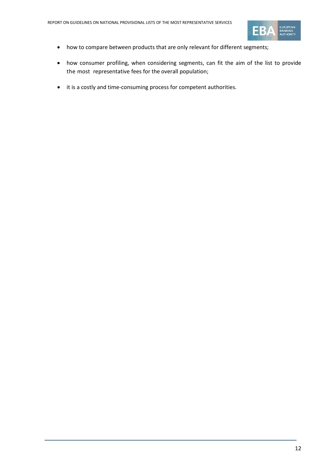

- how to compare between products that are only relevant for different segments;
- how consumer profiling, when considering segments, can fit the aim of the list to provide the most representative fees for the overall population;
- it is a costly and time-consuming process for competent authorities.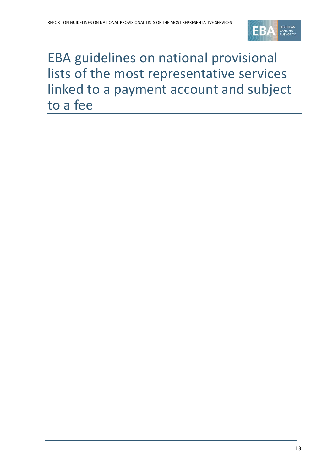

# <span id="page-12-0"></span>EBA guidelines on national provisional lists of the most representative services linked to a payment account and subject to a fee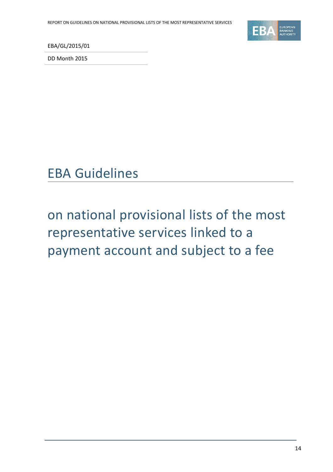

EBA/GL/2015/01

DD Month 2015



on national provisional lists of the most representative services linked to a payment account and subject to a fee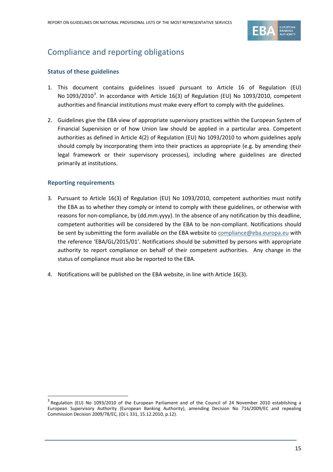

## <span id="page-14-0"></span>Compliance and reporting obligations

#### **Status of these guidelines**

- 1. This document contains guidelines issued pursuant to Article 16 of Regulation (EU) No 109[3](#page-14-1)/2010<sup>3</sup>. In accordance with Article 16(3) of Regulation (EU) No 1093/2010, competent authorities and financial institutions must make every effort to comply with the guidelines.
- 2. Guidelines give the EBA view of appropriate supervisory practices within the European System of Financial Supervision or of how Union law should be applied in a particular area. Competent authorities as defined in Article 4(2) of Regulation (EU) No 1093/2010 to whom guidelines apply should comply by incorporating them into their practices as appropriate (e.g. by amending their legal framework or their supervisory processes), including where guidelines are directed primarily at institutions.

#### **Reporting requirements**

 $\overline{a}$ 

- 3. Pursuant to Article 16(3) of Regulation (EU) No 1093/2010, competent authorities must notify the EBA as to whether they comply or intend to comply with these guidelines, or otherwise with reasons for non-compliance, by (dd.mm.yyyy). In the absence of any notification by this deadline, competent authorities will be considered by the EBA to be non-compliant. Notifications should be sent by submitting the form available on the EBA website to [compliance@eba.europa.eu](mailto:compliance@eba.europa.eu) with the reference 'EBA/GL/2015/01'. Notifications should be submitted by persons with appropriate authority to report compliance on behalf of their competent authorities. Any change in the status of compliance must also be reported to the EBA.
- 4. Notifications will be published on the EBA website, in line with Article 16(3).

<span id="page-14-1"></span><sup>3</sup> Regulation (EU) No 1093/2010 of the European Parliament and of the Council of 24 November 2010 establishing a European Supervisory Authority (European Banking Authority), amending Decision No 716/2009/EC and repealing Commission Decision 2009/78/EC, (OJ L 331, 15.12.2010, p.12).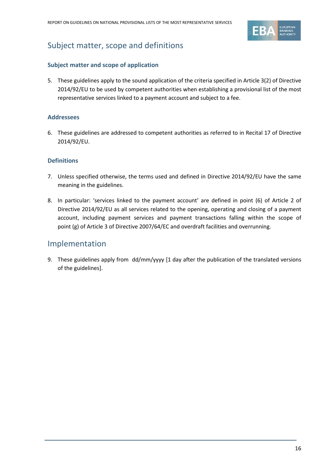

## <span id="page-15-0"></span>Subject matter, scope and definitions

#### **Subject matter and scope of application**

5. These guidelines apply to the sound application of the criteria specified in Article 3(2) of Directive 2014/92/EU to be used by competent authorities when establishing a provisional list of the most representative services linked to a payment account and subject to a fee.

#### **Addressees**

6. These guidelines are addressed to competent authorities as referred to in Recital 17 of Directive 2014/92/EU.

#### **Definitions**

- 7. Unless specified otherwise, the terms used and defined in Directive 2014/92/EU have the same meaning in the guidelines.
- 8. In particular: 'services linked to the payment account' are defined in point (6) of Article 2 of Directive 2014/92/EU as all services related to the opening, operating and closing of a payment account, including payment services and payment transactions falling within the scope of point (g) of Article 3 of Directive 2007/64/EC and overdraft facilities and overrunning.

### <span id="page-15-1"></span>Implementation

9. These guidelines apply from dd/mm/yyyy [1 day after the publication of the translated versions of the guidelines].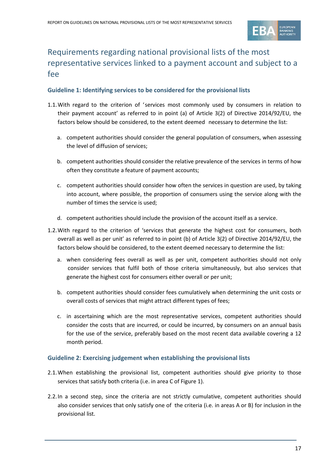

## <span id="page-16-0"></span>Requirements regarding national provisional lists of the most representative services linked to a payment account and subject to a fee

#### <span id="page-16-1"></span>**Guideline 1: Identifying services to be considered for the provisional lists**

- 1.1.With regard to the criterion of 'services most commonly used by consumers in relation to their payment account' as referred to in point (a) of Article 3(2) of Directive 2014/92/EU, the factors below should be considered, to the extent deemed necessary to determine the list:
	- a. competent authorities should consider the general population of consumers, when assessing the level of diffusion of services;
	- b. competent authorities should consider the relative prevalence of the services in terms of how often they constitute a feature of payment accounts;
	- c. competent authorities should consider how often the services in question are used, by taking into account, where possible, the proportion of consumers using the service along with the number of times the service is used;
	- d. competent authorities should include the provision of the account itself as a service.
- 1.2.With regard to the criterion of 'services that generate the highest cost for consumers, both overall as well as per unit' as referred to in point (b) of Article 3(2) of Directive 2014/92/EU, the factors below should be considered, to the extent deemed necessary to determine the list:
	- a. when considering fees overall as well as per unit, competent authorities should not only consider services that fulfil both of those criteria simultaneously, but also services that generate the highest cost for consumers either overall or per unit;
	- b. competent authorities should consider fees cumulatively when determining the unit costs or overall costs of services that might attract different types of fees;
	- c. in ascertaining which are the most representative services, competent authorities should consider the costs that are incurred, or could be incurred, by consumers on an annual basis for the use of the service, preferably based on the most recent data available covering a 12 month period.

#### <span id="page-16-2"></span>**Guideline 2: Exercising judgement when establishing the provisional lists**

- 2.1.When establishing the provisional list, competent authorities should give priority to those services that satisfy both criteria (i.e. in area C of Figure 1).
- 2.2.In a second step, since the criteria are not strictly cumulative, competent authorities should also consider services that only satisfy one of the criteria (i.e. in areas A or B) for inclusion in the provisional list.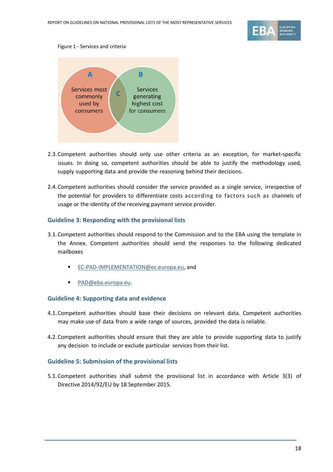

#### Figure 1 - Services and criteria



- 2.3.Competent authorities should only use other criteria as an exception, for market-specific issues. In doing so, competent authorities should be able to justify the methodology used, supply supporting data and provide the reasoning behind their decisions.
- 2.4.Competent authorities should consider the service provided as a single service, irrespective of the potential for providers to differentiate costs according to factors such as channels of usage or the identity of the receiving payment service provider.

#### <span id="page-17-0"></span>**Guideline 3: Responding with the provisional lists**

- 3.1.Competent authorities should respond to the Commission and to the EBA using the template in the Annex. Competent authorities should send the responses to the following dedicated mailboxes
	- **[EC-PAD-IMPLEMENTATION@ec.europa.eu,](mailto:EC-PAD-IMPLEMENTATION@ec.europa.eu) and**
	- [PAD@eba.europa.eu.](mailto:PAD@eba.europa.eu)

#### <span id="page-17-1"></span>**Guideline 4: Supporting data and evidence**

- 4.1.Competent authorities should base their decisions on relevant data. Competent authorities may make use of data from a wide range of sources, provided the data is reliable.
- 4.2.Competent authorities should ensure that they are able to provide supporting data to justify any decision to include or exclude particular services from their list.

#### <span id="page-17-2"></span>**Guideline 5: Submission of the provisional lists**

5.1.Competent authorities shall submit the provisional list in accordance with Article 3(3) of Directive 2014/92/EU by 18 September 2015.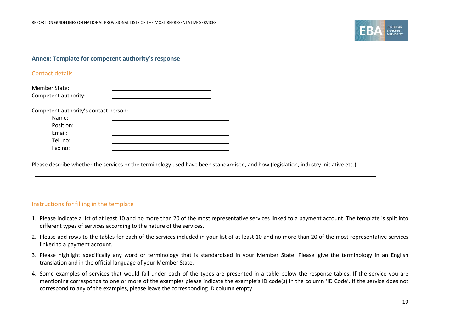

#### **Annex: Template for competent authority's response**

#### Contact details

| Member State:        |  |
|----------------------|--|
| Competent authority: |  |

Competent authority's contact person:

| Name:     |  |
|-----------|--|
| Position: |  |
| Email:    |  |
| Tel. no:  |  |
| Fax no:   |  |

Please describe whether the services or the terminology used have been standardised, and how (legislation, industry initiative etc.):

#### <span id="page-18-0"></span>Instructions for filling in the template

- 1. Please indicate a list of at least 10 and no more than 20 of the most representative services linked to a payment account. The template is split into different types of services according to the nature of the services.
- 2. Please add rows to the tables for each of the services included in your list of at least 10 and no more than 20 of the most representative services linked to a payment account.
- 3. Please highlight specifically any word or terminology that is standardised in your Member State. Please give the terminology in an English translation and in the official language of your Member State.
- 4. Some examples of services that would fall under each of the types are presented in a table below the response tables. If the service you are mentioning corresponds to one or more of the examples please indicate the example's ID code(s) in the column 'ID Code'. If the service does not correspond to any of the examples, please leave the corresponding ID column empty.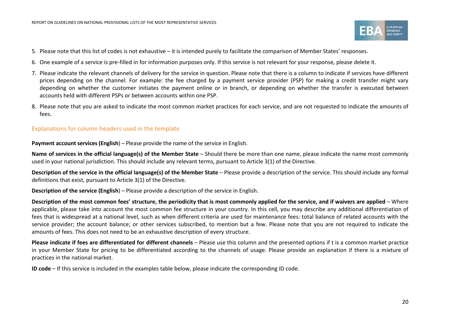

- 5. Please note that this list of codes is not exhaustive it is intended purely to facilitate the comparison of Member States' responses.
- 6. One example of a service is pre-filled in for information purposes only. If this service is not relevant for your response, please delete it.
- 7. Please indicate the relevant channels of delivery for the service in question. Please note that there is a column to indicate if services have different prices depending on the channel. For example: the fee charged by a payment service provider (PSP) for making a credit transfer might vary depending on whether the customer initiates the payment online or in branch, or depending on whether the transfer is executed between accounts held with different PSPs or between accounts within one PSP.
- 8. Please note that you are asked to indicate the most common market practices for each service, and are not requested to indicate the amounts of fees.

#### Explanations for column headers used in the template

**Payment account services (English) – Please provide the name of the service in English.** 

**Name of services in the official language(s) of the Member State** – Should there be more than one name, please indicate the name most commonly used in your national jurisdiction. This should include any relevant terms, pursuant to Article 3(1) of the Directive.

**Description of the service in the official language(s) of the Member State** – Please provide a description of the service. This should include any formal definitions that exist, pursuant to Article 3(1) of the Directive.

**Description of the service (English**) – Please provide a description of the service in English.

**Description of the most common fees' structure, the periodicity that is most commonly applied for the service, and if waivers are applied** – Where applicable, please take into account the most common fee structure in your country. In this cell, you may describe any additional differentiation of fees that is widespread at a national level, such as when different criteria are used for maintenance fees: total balance of related accounts with the service provider; the account balance; or other services subscribed, to mention but a few. Please note that you are not required to indicate the amounts of fees. This does not need to be an exhaustive description of every structure.

**Please indicate if fees are differentiated for different channels** – Please use this column and the presented options if t is a common market practice in your Member State for pricing to be differentiated according to the channels of usage. Please provide an explanation if there is a mixture of practices in the national market.

**ID code** – If this service is included in the examples table below, please indicate the corresponding ID code.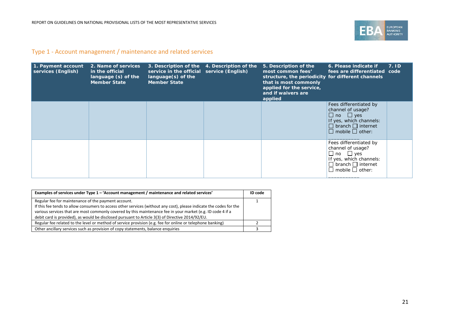

### Type 1 - Account management / maintenance and related services

| 1. Payment account<br>services (English) | 2. Name of services<br>in the official<br>language (s) of the<br><b>Member State</b> | service in the official service (English)<br>$language(s)$ of the<br><b>Member State</b> | 3. Description of the 4. Description of the | 5. Description of the<br>most common fees'<br>structure, the periodicity for different channels<br>that is most commonly<br>applied for the service,<br>and if waivers are<br>applied | 6. Please indicate if<br>fees are differentiated code                                                                                                          | 7.1D |
|------------------------------------------|--------------------------------------------------------------------------------------|------------------------------------------------------------------------------------------|---------------------------------------------|---------------------------------------------------------------------------------------------------------------------------------------------------------------------------------------|----------------------------------------------------------------------------------------------------------------------------------------------------------------|------|
|                                          |                                                                                      |                                                                                          |                                             |                                                                                                                                                                                       | Fees differentiated by<br>channel of usage?<br>$\Box$ no $\Box$ yes<br>If yes, which channels:<br>$\Box$ branch $\Box$ internet<br>$\Box$ mobile $\Box$ other: |      |
|                                          |                                                                                      |                                                                                          |                                             |                                                                                                                                                                                       | Fees differentiated by<br>channel of usage?<br>$\Box$ no $\Box$ yes<br>If yes, which channels:<br>$\Box$ branch $\Box$ internet<br>$\Box$ mobile $\Box$ other: |      |

| Examples of services under Type 1 - 'Account management / maintenance and related services'                         | ID code |
|---------------------------------------------------------------------------------------------------------------------|---------|
| Regular fee for maintenance of the payment account.                                                                 |         |
| If this fee tends to allow consumers to access other services (without any cost), please indicate the codes for the |         |
| various services that are most commonly covered by this maintenance fee in your market (e.g. ID code 4 if a         |         |
| debit card is provided), as would be disclosed pursuant to Article 3(3) of Directive 2014/92/EU.                    |         |
| Regular fee related to the level or method of service provision (e.g. fee for online or telephone banking)          |         |
| Other ancillary services such as provision of copy statements, balance enquiries                                    |         |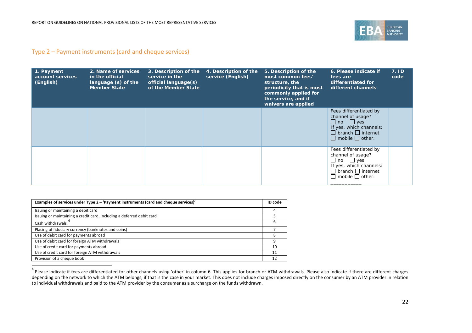<span id="page-21-0"></span>

#### Type 2 – Payment instruments (card and cheque services)

| 1. Payment<br>account services<br>(English) | 2. Name of services<br>in the official<br>language (s) of the<br><b>Member State</b> | 3. Description of the<br>service in the<br>official language(s)<br>of the Member State | 4. Description of the<br>service (English) | 5. Description of the<br>most common fees'<br>structure, the<br>periodicity that is most<br>commonly applied for<br>the service, and if<br>waivers are applied | 6. Please indicate if<br>fees are<br>differentiated for<br>different channels                                                                                  | 7.1D<br>code |
|---------------------------------------------|--------------------------------------------------------------------------------------|----------------------------------------------------------------------------------------|--------------------------------------------|----------------------------------------------------------------------------------------------------------------------------------------------------------------|----------------------------------------------------------------------------------------------------------------------------------------------------------------|--------------|
|                                             |                                                                                      |                                                                                        |                                            |                                                                                                                                                                | Fees differentiated by<br>channel of usage?<br>$\Box$ no $\Box$ yes<br>If yes, which channels:<br>$\Box$ branch $\Box$ internet<br>$\Box$ mobile $\Box$ other: |              |
|                                             |                                                                                      |                                                                                        |                                            |                                                                                                                                                                | Fees differentiated by<br>channel of usage?<br>$\Box$ no $\Box$ yes<br>If yes, which channels:<br>$\Box$ branch $\Box$ internet<br>$\Box$ mobile $\Box$ other: |              |

| Examples of services under Type 2 – 'Payment instruments (card and cheque services)' | ID code |
|--------------------------------------------------------------------------------------|---------|
| Issuing or maintaining a debit card                                                  |         |
| Issuing or maintaining a credit card, including a deferred debit card                |         |
| Cash withdrawals                                                                     |         |
| Placing of fiduciary currency (banknotes and coins)                                  |         |
| Use of debit card for payments abroad                                                |         |
| Use of debit card for foreign ATM withdrawals                                        |         |
| Use of credit card for payments abroad                                               | 10      |
| Use of credit card for foreign ATM withdrawals                                       | 11      |
| Provision of a cheque book                                                           |         |

<sup>4</sup> Please indicate if fees are differentiated for other channels using 'other' in column 6. This applies for branch or ATM withdrawals. Please also indicate if there are different charges depending on the network to which the ATM belongs, if that is the case in your market. This does not include charges imposed directly on the consumer by an ATM provider in relation to individual withdrawals and paid to the ATM provider by the consumer as a surcharge on the funds withdrawn.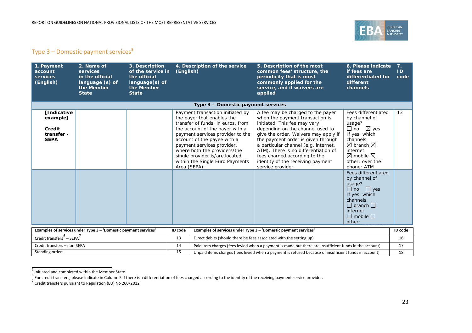<span id="page-22-2"></span><span id="page-22-1"></span><span id="page-22-0"></span>

## Type 3 – Domestic payment services**[5](#page-22-0)**

| 1. Payment<br>account<br>services<br>(English)                        | 2. Name of<br>services<br>in the official<br>language (s) of<br>the Member<br><b>State</b> | 3. Description<br>of the service in<br>the official<br>$language(s)$ of<br>the Member<br><b>State</b> | (English)    | 4. Description of the service                                                                                                                                                                                                                                                                                                                | 5. Description of the most<br>common fees' structure, the<br>periodicity that is most<br>commonly applied for the<br>service, and if waivers are<br>applied                                                                                                                                                                                                                                       | 6. Please indicate<br>if fees are<br>differentiated for<br>different<br>channels                                                                                                                                           | 7.<br>ID<br>code |
|-----------------------------------------------------------------------|--------------------------------------------------------------------------------------------|-------------------------------------------------------------------------------------------------------|--------------|----------------------------------------------------------------------------------------------------------------------------------------------------------------------------------------------------------------------------------------------------------------------------------------------------------------------------------------------|---------------------------------------------------------------------------------------------------------------------------------------------------------------------------------------------------------------------------------------------------------------------------------------------------------------------------------------------------------------------------------------------------|----------------------------------------------------------------------------------------------------------------------------------------------------------------------------------------------------------------------------|------------------|
|                                                                       |                                                                                            |                                                                                                       |              | Type 3 – Domestic payment services                                                                                                                                                                                                                                                                                                           |                                                                                                                                                                                                                                                                                                                                                                                                   |                                                                                                                                                                                                                            |                  |
| <b>[Indicative</b><br>example]<br>Credit<br>transfer -<br><b>SEPA</b> |                                                                                            |                                                                                                       | Area (SEPA). | Payment transaction initiated by<br>the payer that enables the<br>transfer of funds, in euros, from<br>the account of the payer with a<br>payment services provider to the<br>account of the payee with a<br>payment services provider,<br>where both the providers/the<br>single provider is/are located<br>within the Single Euro Payments | A fee may be charged to the payer<br>when the payment transaction is<br>initiated. This fee may vary<br>depending on the channel used to<br>give the order. Waivers may apply if<br>the payment order is given through<br>a particular channel (e.g. internet,<br>ATM). There is no differentiation of<br>fees charged according to the<br>identity of the receiving payment<br>service provider. | Fees differentiated<br>by channel of<br>usage?<br>$\Box$ no $\boxtimes$ yes<br>If yes, which<br>channels:<br>$\boxtimes$ branch $\boxtimes$<br>internet<br>$\boxtimes$ mobile $\boxtimes$<br>other: over the<br>phone: ATM | 13               |
|                                                                       |                                                                                            |                                                                                                       |              |                                                                                                                                                                                                                                                                                                                                              |                                                                                                                                                                                                                                                                                                                                                                                                   | Fees differentiated<br>by channel of<br>usage?<br>$\Box$ no $\Box$ yes<br>If yes, which<br>channels:<br>$\Box$ branch $\Box$<br>internet<br>$\Box$ mobile $\Box$<br>other:                                                 |                  |
|                                                                       | Examples of services under Type 3 - 'Domestic payment services'                            |                                                                                                       | ID code      |                                                                                                                                                                                                                                                                                                                                              | Examples of services under Type 3 - 'Domestic payment services'                                                                                                                                                                                                                                                                                                                                   |                                                                                                                                                                                                                            | ID code          |
| Credit transfers $6 -$ SEPA $^7$                                      |                                                                                            |                                                                                                       | 13           | Direct debits (should there be fees associated with the setting up)                                                                                                                                                                                                                                                                          |                                                                                                                                                                                                                                                                                                                                                                                                   |                                                                                                                                                                                                                            | 16               |
| Credit transfers - non-SEPA                                           |                                                                                            |                                                                                                       | 14           |                                                                                                                                                                                                                                                                                                                                              | Paid item charges (fees levied when a payment is made but there are insufficient funds in the account)                                                                                                                                                                                                                                                                                            |                                                                                                                                                                                                                            | 17               |
| Standing orders                                                       |                                                                                            |                                                                                                       | 15           |                                                                                                                                                                                                                                                                                                                                              | Unpaid items charges (fees levied when a payment is refused because of insufficient funds in account)                                                                                                                                                                                                                                                                                             |                                                                                                                                                                                                                            | 18               |

<sup>5&</sup>lt;br>6 Initiated and completed within the Member State.<br><sup>6</sup> For credit transfers, please indicate in Column 5 if there is a differentiation of fees charged according to the identity of the receiving payment service provider.<br>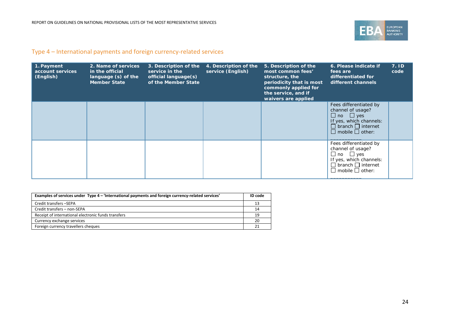

### Type 4 – International payments and foreign currency-related services

| 1. Payment<br>account services<br>(English) | 2. Name of services<br>in the official<br>language (s) of the<br><b>Member State</b> | 3. Description of the<br>service in the<br>official language(s)<br>of the Member State | 4. Description of the<br>service (English) | 5. Description of the<br>most common fees'<br>structure, the<br>periodicity that is most<br>commonly applied for<br>the service, and if<br>waivers are applied | 6. Please indicate if<br>fees are<br>differentiated for<br>different channels                                                                                  | 7.1D<br>code |
|---------------------------------------------|--------------------------------------------------------------------------------------|----------------------------------------------------------------------------------------|--------------------------------------------|----------------------------------------------------------------------------------------------------------------------------------------------------------------|----------------------------------------------------------------------------------------------------------------------------------------------------------------|--------------|
|                                             |                                                                                      |                                                                                        |                                            |                                                                                                                                                                | Fees differentiated by<br>channel of usage?<br>$\Box$ no $\Box$ ves<br>If yes, which channels:<br>$\Box$ branch $\Box$ internet<br>$\Box$ mobile $\Box$ other: |              |
|                                             |                                                                                      |                                                                                        |                                            |                                                                                                                                                                | Fees differentiated by<br>channel of usage?<br>$\Box$ no $\Box$ yes<br>If yes, which channels:<br>$\Box$ branch $\Box$ internet<br>$\Box$ mobile $\Box$ other: |              |

| Examples of services under Type 4 – 'International payments and foreign currency-related services' | ID code |
|----------------------------------------------------------------------------------------------------|---------|
| Credit transfers -SEPA                                                                             | 13      |
| Credit transfers - non-SEPA                                                                        | 14      |
| Receipt of international electronic funds transfers                                                | 19      |
| Currency exchange services                                                                         | 20      |
| Foreign currency travellers cheques                                                                |         |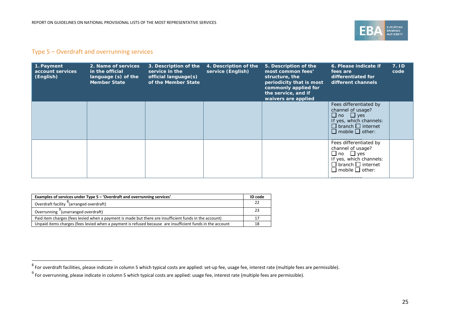<span id="page-24-1"></span><span id="page-24-0"></span>

#### Type 5 – Overdraft and overrunning services

.

| 1. Payment<br>account services<br>(English) | 2. Name of services<br>in the official<br>language (s) of the<br><b>Member State</b> | 3. Description of the<br>service in the<br>official language(s)<br>of the Member State | 4. Description of the<br>service (English) | 5. Description of the<br>most common fees'<br>structure, the<br>periodicity that is most<br>commonly applied for<br>the service, and if<br>waivers are applied | 6. Please indicate if<br>fees are<br>differentiated for<br>different channels                                                                                  | 7. ID<br>code |
|---------------------------------------------|--------------------------------------------------------------------------------------|----------------------------------------------------------------------------------------|--------------------------------------------|----------------------------------------------------------------------------------------------------------------------------------------------------------------|----------------------------------------------------------------------------------------------------------------------------------------------------------------|---------------|
|                                             |                                                                                      |                                                                                        |                                            |                                                                                                                                                                | Fees differentiated by<br>channel of usage?<br>$\Box$ no $\Box$ yes<br>If yes, which channels:<br>$\Box$ branch $\Box$ internet<br>$\Box$ mobile $\Box$ other: |               |
|                                             |                                                                                      |                                                                                        |                                            |                                                                                                                                                                | Fees differentiated by<br>channel of usage?<br>$\Box$ no $\Box$ yes<br>If yes, which channels:<br>$\Box$ branch $\Box$ internet<br>$\Box$ mobile $\Box$ other: |               |

| Examples of services under Type 5 - 'Overdraft and overrunning services'                                  | ID code |
|-----------------------------------------------------------------------------------------------------------|---------|
| Overdraft facility <sup>o</sup> (arranged overdraft)                                                      |         |
| Overrunning (unarranged overdraft)                                                                        | 23      |
| Paid item charges (fees levied when a payment is made but there are insufficient funds in the account)    |         |
| Unpaid items charges (fees levied when a payment is refused because are insufficient funds in the account | 18      |

 $^8$  For overdraft facilities, please indicate in column 5 which typical costs are applied: set-up fee, usage fee, interest rate (multiple fees are permissible).

 $^9$  For overrunning, please indicate in column 5 which typical costs are applied: usage fee, interest rate (multiple fees are permissible).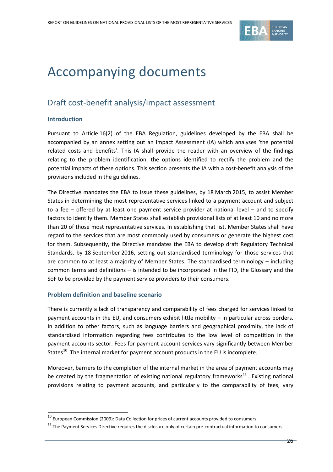

## <span id="page-25-0"></span>Accompanying documents

## <span id="page-25-1"></span>Draft cost-benefit analysis/impact assessment

#### **Introduction**

 $\overline{a}$ 

Pursuant to Article 16(2) of the EBA Regulation, guidelines developed by the EBA shall be accompanied by an annex setting out an Impact Assessment (IA) which analyses 'the potential related costs and benefits'. This IA shall provide the reader with an overview of the findings relating to the problem identification, the options identified to rectify the problem and the potential impacts of these options. This section presents the IA with a cost-benefit analysis of the provisions included in the guidelines.

The Directive mandates the EBA to issue these guidelines, by 18 March 2015, to assist Member States in determining the most representative services linked to a payment account and subject to a fee – offered by at least one payment service provider at national level – and to specify factors to identify them. Member States shall establish provisional lists of at least 10 and no more than 20 of those most representative services. In establishing that list, Member States shall have regard to the services that are most commonly used by consumers or generate the highest cost for them. Subsequently, the Directive mandates the EBA to develop draft Regulatory Technical Standards, by 18 September 2016, setting out standardised terminology for those services that are common to at least a majority of Member States. The standardised terminology – including common terms and definitions – is intended to be incorporated in the FID, the Glossary and the SoF to be provided by the payment service providers to their consumers.

#### **Problem definition and baseline scenario**

There is currently a lack of transparency and comparability of fees charged for services linked to payment accounts in the EU, and consumers exhibit little mobility – in particular across borders. In addition to other factors, such as language barriers and geographical proximity, the lack of standardised information regarding fees contributes to the low level of competition in the payment accounts sector. Fees for payment account services vary significantly between Member States<sup>[10](#page-25-2)</sup>. The internal market for payment account products in the EU is incomplete.

Moreover, barriers to the completion of the internal market in the area of payment accounts may be created by the fragmentation of existing national regulatory frameworks<sup>[11](#page-25-3)</sup>. Existing national provisions relating to payment accounts, and particularly to the comparability of fees, vary

<span id="page-25-2"></span> $^{10}$  European Commission (2009): Data Collection for prices of current accounts provided to consumers.

<span id="page-25-3"></span> $11$  The Payment Services Directive requires the disclosure only of certain pre-contractual information to consumers.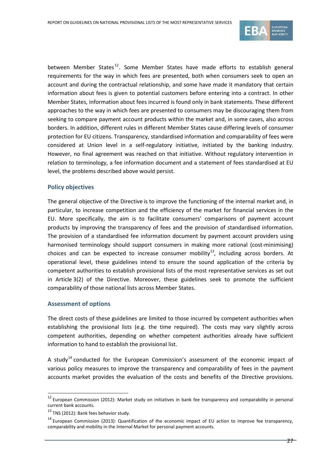

between Member States<sup>[12](#page-26-0)</sup>. Some Member States have made efforts to establish general requirements for the way in which fees are presented, both when consumers seek to open an account and during the contractual relationship, and some have made it mandatory that certain information about fees is given to potential customers before entering into a contract. In other Member States, information about fees incurred is found only in bank statements. These different approaches to the way in which fees are presented to consumers may be discouraging them from seeking to compare payment account products within the market and, in some cases, also across borders. In addition, different rules in different Member States cause differing levels of consumer protection for EU citizens. Transparency, standardised information and comparability of fees were considered at Union level in a self-regulatory initiative, initiated by the banking industry. However, no final agreement was reached on that initiative. Without regulatory intervention in relation to terminology, a fee information document and a statement of fees standardised at EU level, the problems described above would persist.

#### **Policy objectives**

The general objective of the Directive is to improve the functioning of the internal market and, in particular, to increase competition and the efficiency of the market for financial services in the EU. More specifically, the aim is to facilitate consumers' comparisons of payment account products by improving the transparency of fees and the provision of standardised information. The provision of a standardised fee information document by payment account providers using harmonised terminology should support consumers in making more rational (cost-minimising) choices and can be expected to increase consumer mobility $^{13}$ , including across borders. At operational level, these guidelines intend to ensure the sound application of the criteria by competent authorities to establish provisional lists of the most representative services as set out in Article 3(2) of the Directive. Moreover, these guidelines seek to promote the sufficient comparability of those national lists across Member States.

#### **Assessment of options**

The direct costs of these guidelines are limited to those incurred by competent authorities when establishing the provisional lists (e.g. the time required). The costs may vary slightly across competent authorities, depending on whether competent authorities already have sufficient information to hand to establish the provisional list.

A study<sup>[14](#page-26-2)</sup> conducted for the European Commission's assessment of the economic impact of various policy measures to improve the transparency and comparability of fees in the payment accounts market provides the evaluation of the costs and benefits of the Directive provisions.

 $\overline{a}$ 

<span id="page-26-0"></span> $12$  European Commission (2012): Market study on initiatives in bank fee transparency and comparability in personal current bank accounts.

<span id="page-26-1"></span><sup>&</sup>lt;sup>13</sup> TNS (2012): Bank fees behavior study.

<span id="page-26-2"></span><sup>&</sup>lt;sup>14</sup> European Commission (2013): Quantification of the economic impact of EU action to improve fee transparency, comparability and mobility in the Internal Market for personal payment accounts.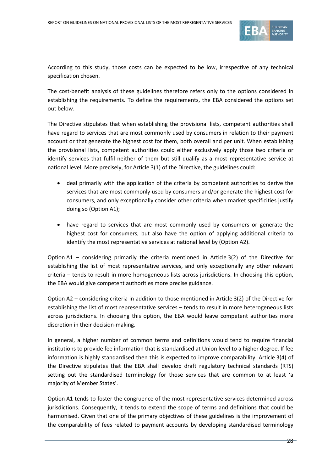

According to this study, those costs can be expected to be low, irrespective of any technical specification chosen.

The cost-benefit analysis of these guidelines therefore refers only to the options considered in establishing the requirements. To define the requirements, the EBA considered the options set out below.

The Directive stipulates that when establishing the provisional lists, competent authorities shall have regard to services that are most commonly used by consumers in relation to their payment account or that generate the highest cost for them, both overall and per unit. When establishing the provisional lists, competent authorities could either exclusively apply those two criteria or identify services that fulfil neither of them but still qualify as a most representative service at national level. More precisely, for Article 3(1) of the Directive, the guidelines could:

- deal primarily with the application of the criteria by competent authorities to derive the services that are most commonly used by consumers and/or generate the highest cost for consumers, and only exceptionally consider other criteria when market specificities justify doing so (Option A1);
- have regard to services that are most commonly used by consumers or generate the highest cost for consumers, but also have the option of applying additional criteria to identify the most representative services at national level by (Option A2).

Option A1 – considering primarily the criteria mentioned in Article 3(2) of the Directive for establishing the list of most representative services, and only exceptionally any other relevant criteria – tends to result in more homogeneous lists across jurisdictions. In choosing this option, the EBA would give competent authorities more precise guidance.

Option A2 – considering criteria in addition to those mentioned in Article 3(2) of the Directive for establishing the list of most representative services – tends to result in more heterogeneous lists across jurisdictions. In choosing this option, the EBA would leave competent authorities more discretion in their decision-making.

In general, a higher number of common terms and definitions would tend to require financial institutions to provide fee information that is standardised at Union level to a higher degree. If fee information is highly standardised then this is expected to improve comparability. Article 3(4) of the Directive stipulates that the EBA shall develop draft regulatory technical standards (RTS) setting out the standardised terminology for those services that are common to at least 'a majority of Member States'.

Option A1 tends to foster the congruence of the most representative services determined across jurisdictions. Consequently, it tends to extend the scope of terms and definitions that could be harmonised. Given that one of the primary objectives of these guidelines is the improvement of the comparability of fees related to payment accounts by developing standardised terminology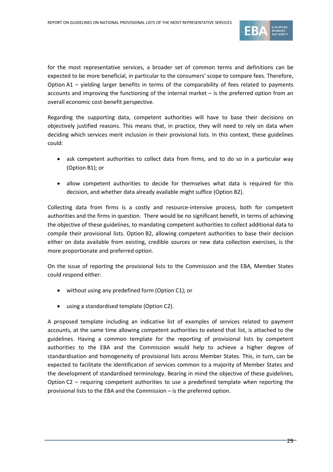

for the most representative services, a broader set of common terms and definitions can be expected to be more beneficial, in particular to the consumers' scope to compare fees. Therefore, Option A1 – yielding larger benefits in terms of the comparability of fees related to payments accounts and improving the functioning of the internal market – is the preferred option from an overall economic cost-benefit perspective.

Regarding the supporting data, competent authorities will have to base their decisions on objectively justified reasons. This means that, in practice, they will need to rely on data when deciding which services merit inclusion in their provisional lists. In this context, these guidelines could:

- ask competent authorities to collect data from firms, and to do so in a particular way (Option B1); or
- allow competent authorities to decide for themselves what data is required for this decision, and whether data already available might suffice (Option B2).

Collecting data from firms is a costly and resource-intensive process, both for competent authorities and the firms in question. There would be no significant benefit, in terms of achieving the objective of these guidelines, to mandating competent authorities to collect additional data to compile their provisional lists. Option B2, allowing competent authorities to base their decision either on data available from existing, credible sources or new data collection exercises, is the more proportionate and preferred option.

On the issue of reporting the provisional lists to the Commission and the EBA, Member States could respond either:

- without using any predefined form (Option C1); or
- using a standardised template (Option C2).

A proposed template including an indicative list of examples of services related to payment accounts, at the same time allowing competent authorities to extend that list, is attached to the guidelines. Having a common template for the reporting of provisional lists by competent authorities to the EBA and the Commission would help to achieve a higher degree of standardisation and homogeneity of provisional lists across Member States. This, in turn, can be expected to facilitate the identification of services common to a majority of Member States and the development of standardised terminology. Bearing in mind the objective of these guidelines, Option C2 – requiring competent authorities to use a predefined template when reporting the provisional lists to the EBA and the Commission – is the preferred option.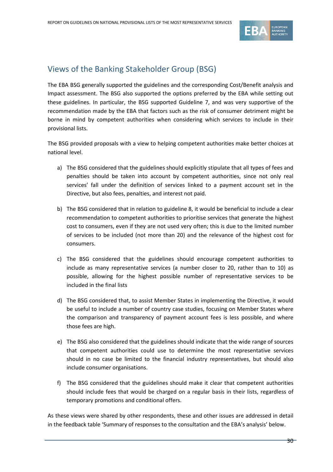

## <span id="page-29-0"></span>Views of the Banking Stakeholder Group (BSG)

The EBA BSG generally supported the guidelines and the corresponding Cost/Benefit analysis and Impact assessment. The BSG also supported the options preferred by the EBA while setting out these guidelines. In particular, the BSG supported Guideline 7, and was very supportive of the recommendation made by the EBA that factors such as the risk of consumer detriment might be borne in mind by competent authorities when considering which services to include in their provisional lists.

The BSG provided proposals with a view to helping competent authorities make better choices at national level.

- a) The BSG considered that the guidelines should explicitly stipulate that all types of fees and penalties should be taken into account by competent authorities, since not only real services' fall under the definition of services linked to a payment account set in the Directive, but also fees, penalties, and interest not paid.
- b) The BSG considered that in relation to guideline 8, it would be beneficial to include a clear recommendation to competent authorities to prioritise services that generate the highest cost to consumers, even if they are not used very often; this is due to the limited number of services to be included (not more than 20) and the relevance of the highest cost for consumers.
- c) The BSG considered that the guidelines should encourage competent authorities to include as many representative services (a number closer to 20, rather than to 10) as possible, allowing for the highest possible number of representative services to be included in the final lists
- d) The BSG considered that, to assist Member States in implementing the Directive, it would be useful to include a number of country case studies, focusing on Member States where the comparison and transparency of payment account fees is less possible, and where those fees are high.
- e) The BSG also considered that the guidelines should indicate that the wide range of sources that competent authorities could use to determine the most representative services should in no case be limited to the financial industry representatives, but should also include consumer organisations.
- f) The BSG considered that the guidelines should make it clear that competent authorities should include fees that would be charged on a regular basis in their lists, regardless of temporary promotions and conditional offers.

As these views were shared by other respondents, these and other issues are addressed in detail in the feedback table 'Summary of responses to the consultation and the EBA's analysis' below.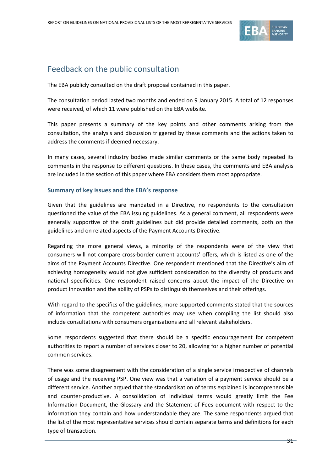

## <span id="page-30-0"></span>Feedback on the public consultation

The EBA publicly consulted on the draft proposal contained in this paper.

The consultation period lasted two months and ended on 9 January 2015. A total of 12 responses were received, of which 11 were published on the EBA website.

This paper presents a summary of the key points and other comments arising from the consultation, the analysis and discussion triggered by these comments and the actions taken to address the comments if deemed necessary.

In many cases, several industry bodies made similar comments or the same body repeated its comments in the response to different questions. In these cases, the comments and EBA analysis are included in the section of this paper where EBA considers them most appropriate.

#### **Summary of key issues and the EBA's response**

Given that the guidelines are mandated in a Directive, no respondents to the consultation questioned the value of the EBA issuing guidelines. As a general comment, all respondents were generally supportive of the draft guidelines but did provide detailed comments, both on the guidelines and on related aspects of the Payment Accounts Directive.

Regarding the more general views, a minority of the respondents were of the view that consumers will not compare cross-border current accounts' offers, which is listed as one of the aims of the Payment Accounts Directive. One respondent mentioned that the Directive's aim of achieving homogeneity would not give sufficient consideration to the diversity of products and national specificities. One respondent raised concerns about the impact of the Directive on product innovation and the ability of PSPs to distinguish themselves and their offerings.

With regard to the specifics of the guidelines, more supported comments stated that the sources of information that the competent authorities may use when compiling the list should also include consultations with consumers organisations and all relevant stakeholders.

Some respondents suggested that there should be a specific encouragement for competent authorities to report a number of services closer to 20, allowing for a higher number of potential common services.

There was some disagreement with the consideration of a single service irrespective of channels of usage and the receiving PSP. One view was that a variation of a payment service should be a different service. Another argued that the standardisation of terms explained is incomprehensible and counter-productive. A consolidation of individual terms would greatly limit the Fee Information Document, the Glossary and the Statement of Fees document with respect to the information they contain and how understandable they are. The same respondents argued that the list of the most representative services should contain separate terms and definitions for each type of transaction.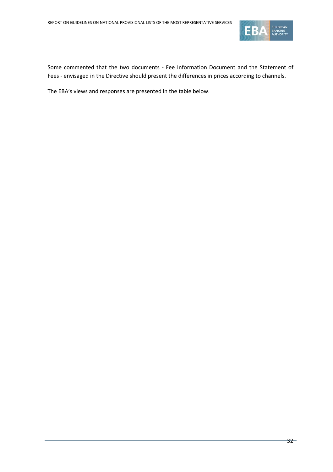

Some commented that the two documents - Fee Information Document and the Statement of Fees - envisaged in the Directive should present the differences in prices according to channels.

The EBA's views and responses are presented in the table below.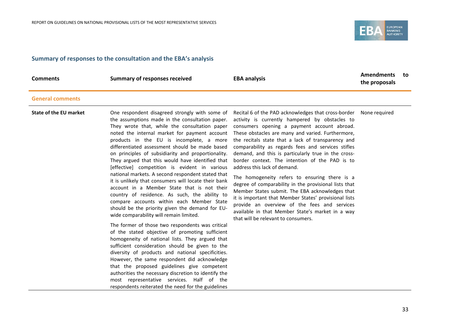

#### **Summary of responses to the consultation and the EBA's analysis**

| <b>Comments</b>               | <b>Summary of responses received</b>                                                                                                                                                                                                                                                                                                                                                                                                                                                                                                                                                                                                                                                                                                                                                                                                                                                                                                                                                                                                                                                                                                                                                                                                                                                       | <b>EBA analysis</b>                                                                                                                                                                                                                                                                                                                                                                                                                                                                                                                                                                                                                                                                                                                                                                                                                           | <b>Amendments</b><br>the proposals | to |
|-------------------------------|--------------------------------------------------------------------------------------------------------------------------------------------------------------------------------------------------------------------------------------------------------------------------------------------------------------------------------------------------------------------------------------------------------------------------------------------------------------------------------------------------------------------------------------------------------------------------------------------------------------------------------------------------------------------------------------------------------------------------------------------------------------------------------------------------------------------------------------------------------------------------------------------------------------------------------------------------------------------------------------------------------------------------------------------------------------------------------------------------------------------------------------------------------------------------------------------------------------------------------------------------------------------------------------------|-----------------------------------------------------------------------------------------------------------------------------------------------------------------------------------------------------------------------------------------------------------------------------------------------------------------------------------------------------------------------------------------------------------------------------------------------------------------------------------------------------------------------------------------------------------------------------------------------------------------------------------------------------------------------------------------------------------------------------------------------------------------------------------------------------------------------------------------------|------------------------------------|----|
| <b>General comments</b>       |                                                                                                                                                                                                                                                                                                                                                                                                                                                                                                                                                                                                                                                                                                                                                                                                                                                                                                                                                                                                                                                                                                                                                                                                                                                                                            |                                                                                                                                                                                                                                                                                                                                                                                                                                                                                                                                                                                                                                                                                                                                                                                                                                               |                                    |    |
| <b>State of the EU market</b> | One respondent disagreed strongly with some of<br>the assumptions made in the consultation paper.<br>They wrote that, while the consultation paper<br>noted the internal market for payment account<br>products in the EU is incomplete, a more<br>differentiated assessment should be made based<br>on principles of subsidiarity and proportionality.<br>They argued that this would have identified that<br>[effective] competition is evident in various<br>national markets. A second respondent stated that<br>it is unlikely that consumers will locate their bank<br>account in a Member State that is not their<br>country of residence. As such, the ability to<br>compare accounts within each Member State<br>should be the priority given the demand for EU-<br>wide comparability will remain limited.<br>The former of those two respondents was critical<br>of the stated objective of promoting sufficient<br>homogeneity of national lists. They argued that<br>sufficient consideration should be given to the<br>diversity of products and national specificities.<br>However, the same respondent did acknowledge<br>that the proposed guidelines give competent<br>authorities the necessary discretion to identify the<br>most representative services. Half of the | Recital 6 of the PAD acknowledges that cross-border None required<br>activity is currently hampered by obstacles to<br>consumers opening a payment account abroad.<br>These obstacles are many and varied. Furthermore,<br>the recitals state that a lack of transparency and<br>comparability as regards fees and services stifles<br>demand, and this is particularly true in the cross-<br>border context. The intention of the PAD is to<br>address this lack of demand.<br>The homogeneity refers to ensuring there is a<br>degree of comparability in the provisional lists that<br>Member States submit. The EBA acknowledges that<br>it is important that Member States' provisional lists<br>provide an overview of the fees and services<br>available in that Member State's market in a way<br>that will be relevant to consumers. |                                    |    |

respondents reiterated the need for the guidelines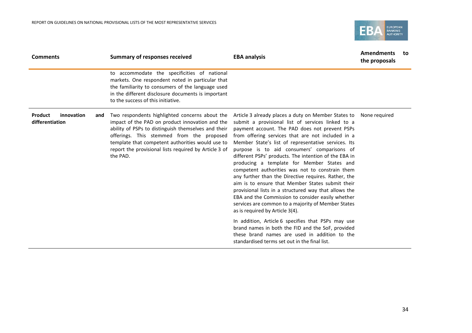

| <b>Comments</b>                                 | <b>Summary of responses received</b>                                                                                                                                                                                                                                                                                           | <b>EBA analysis</b>                                                                                                                                                                                                                                                                                                                                                                                                                                                                                                                                                                                                                                                                                                                                                                                                                                                                                                                                                                                             | <b>Amendments</b><br>the proposals | to |
|-------------------------------------------------|--------------------------------------------------------------------------------------------------------------------------------------------------------------------------------------------------------------------------------------------------------------------------------------------------------------------------------|-----------------------------------------------------------------------------------------------------------------------------------------------------------------------------------------------------------------------------------------------------------------------------------------------------------------------------------------------------------------------------------------------------------------------------------------------------------------------------------------------------------------------------------------------------------------------------------------------------------------------------------------------------------------------------------------------------------------------------------------------------------------------------------------------------------------------------------------------------------------------------------------------------------------------------------------------------------------------------------------------------------------|------------------------------------|----|
|                                                 | to accommodate the specificities of national<br>markets. One respondent noted in particular that<br>the familiarity to consumers of the language used<br>in the different disclosure documents is important<br>to the success of this initiative.                                                                              |                                                                                                                                                                                                                                                                                                                                                                                                                                                                                                                                                                                                                                                                                                                                                                                                                                                                                                                                                                                                                 |                                    |    |
| Product<br>innovation<br>and<br>differentiation | Two respondents highlighted concerns about the<br>impact of the PAD on product innovation and the<br>ability of PSPs to distinguish themselves and their<br>offerings. This stemmed from the proposed<br>template that competent authorities would use to<br>report the provisional lists required by Article 3 of<br>the PAD. | Article 3 already places a duty on Member States to<br>submit a provisional list of services linked to a<br>payment account. The PAD does not prevent PSPs<br>from offering services that are not included in a<br>Member State's list of representative services. Its<br>purpose is to aid consumers' comparisons of<br>different PSPs' products. The intention of the EBA in<br>producing a template for Member States and<br>competent authorities was not to constrain them<br>any further than the Directive requires. Rather, the<br>aim is to ensure that Member States submit their<br>provisional lists in a structured way that allows the<br>EBA and the Commission to consider easily whether<br>services are common to a majority of Member States<br>as is required by Article 3(4).<br>In addition, Article 6 specifies that PSPs may use<br>brand names in both the FID and the SoF, provided<br>these brand names are used in addition to the<br>standardised terms set out in the final list. | None required                      |    |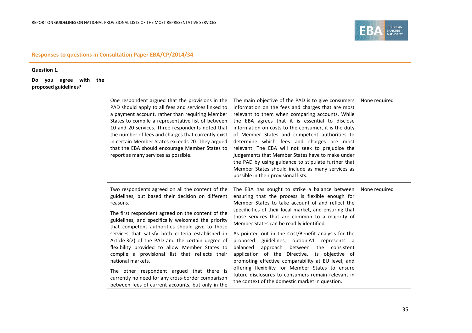

**Question 1.** 

**Do you agree with the proposed guidelines?**

| One respondent argued that the provisions in the<br>PAD should apply to all fees and services linked to<br>a payment account, rather than requiring Member<br>States to compile a representative list of between<br>10 and 20 services. Three respondents noted that<br>the number of fees and charges that currently exist<br>in certain Member States exceeds 20. They argued<br>that the EBA should encourage Member States to<br>report as many services as possible.                                                                                                                                                                                                  | The main objective of the PAD is to give consumers<br>information on the fees and charges that are most<br>relevant to them when comparing accounts. While<br>the EBA agrees that it is essential to disclose<br>information on costs to the consumer, it is the duty<br>of Member States and competent authorities to<br>determine which fees and charges are most<br>relevant. The EBA will not seek to prejudice the<br>judgements that Member States have to make under<br>the PAD by using guidance to stipulate further that<br>Member States should include as many services as<br>possible in their provisional lists.                                                                                                               | None reguired |
|----------------------------------------------------------------------------------------------------------------------------------------------------------------------------------------------------------------------------------------------------------------------------------------------------------------------------------------------------------------------------------------------------------------------------------------------------------------------------------------------------------------------------------------------------------------------------------------------------------------------------------------------------------------------------|----------------------------------------------------------------------------------------------------------------------------------------------------------------------------------------------------------------------------------------------------------------------------------------------------------------------------------------------------------------------------------------------------------------------------------------------------------------------------------------------------------------------------------------------------------------------------------------------------------------------------------------------------------------------------------------------------------------------------------------------|---------------|
| Two respondents agreed on all the content of the<br>guidelines, but based their decision on different<br>reasons.<br>The first respondent agreed on the content of the<br>guidelines, and specifically welcomed the priority<br>that competent authorities should give to those<br>services that satisfy both criteria established in<br>Article 3(2) of the PAD and the certain degree of<br>flexibility provided to allow Member States to<br>compile a provisional list that reflects their<br>national markets.<br>The other respondent argued that there is<br>currently no need for any cross-border comparison<br>between fees of current accounts, but only in the | The EBA has sought to strike a balance between<br>ensuring that the process is flexible enough for<br>Member States to take account of and reflect the<br>specificities of their local market, and ensuring that<br>those services that are common to a majority of<br>Member States can be readily identified.<br>As pointed out in the Cost/Benefit analysis for the<br>proposed guidelines, option A1 represents a<br>between the consistent<br>balanced<br>approach<br>application of the Directive, its objective of<br>promoting effective comparability at EU level, and<br>offering flexibility for Member States to ensure<br>future disclosures to consumers remain relevant in<br>the context of the domestic market in question. | None required |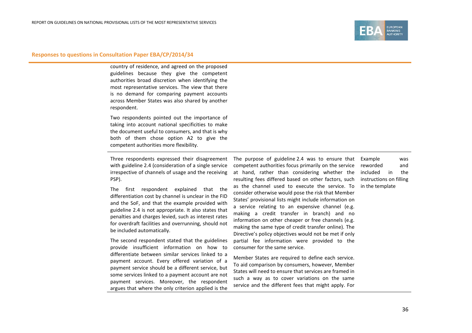

country of residence, and agreed on the proposed guidelines because they give the competent authorities broad discretion when identifying the most representative services. The view that there is no demand for comparing payment accounts across Member States was also shared by another respondent.

Two respondents pointed out the importance of taking into account national specificities to make the document useful to consumers, and that is why both of them chose option A2 to give the competent authorities more flexibility.

Three respondents expressed their disagreement with guideline 2.4 (consideration of a single service irrespective of channels of usage and the receiving PSP).

The first respondent explained that the differentiation cost by channel is unclear in the FID and the SoF, and that the example provided with guideline 2.4 is not appropriate. It also states that penalties and charges levied, such as interest rates for overdraft facilities and overrunning, should not be included automatically.

The second respondent stated that the guidelines provide insufficient information on how to differentiate between similar services linked to a payment account. Every offered variation of a payment service should be a different service, but some services linked to a payment account are not payment services. Moreover, the respondent argues that where the only criterion applied is the The purpose of guideline 2.4 was to ensure that competent authorities focus primarily on the service at hand, rather than considering whether the included in the resulting fees differed based on other factors, such as the channel used to execute the service. To consider otherwise would pose the risk that Member States' provisional lists might include information on a service relating to an expensive channel (e.g. making a credit transfer in branch) and no information on other cheaper or free channels (e.g. making the same type of credit transfer online). The Directive's policy objectives would not be met if only partial fee information were provided to the consumer for the same service.

Member States are required to define each service. To aid comparison by consumers, however, Member States will need to ensure that services are framed in such a way as to cover variations on the same service and the different fees that might apply. For

Example was reworded and instructions on filling in the template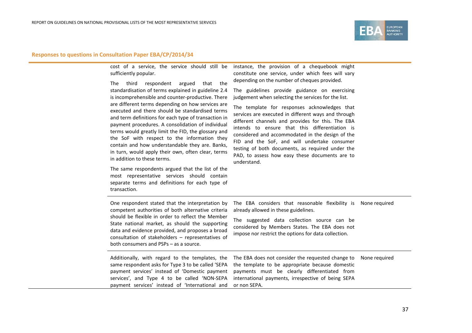

|  |                       |  |  | cost of a service, the service should still be instance, the provision of a chequebook mig |  |
|--|-----------------------|--|--|--------------------------------------------------------------------------------------------|--|
|  | sufficiently popular. |  |  | constitute one service, under which fees will va                                           |  |
|  |                       |  |  | depending an the number of chaques provided                                                |  |

The third respondent argued that the standardisation of terms explained in guideline 2.4 is incomprehensible and counter-productive. There are different terms depending on how services are executed and there should be standardised terms and term definitions for each type of transaction in payment procedures. A consolidation of individual terms would greatly limit the FID, the glossary and the SoF with respect to the information they contain and how understandable they are. Banks, in turn, would apply their own, often clear, terms in addition to these terms.

The same respondents argued that the list of the most representative services should contain separate terms and definitions for each type of transaction.

instance, the provision of a chequebook might constitute one service, under which fees will vary depending on the number of cheques provided.

The guidelines provide guidance on exercising judgement when selecting the services for the list.

The template for responses acknowledges that services are executed in different ways and through different channels and provides for this. The EBA intends to ensure that this differentiation is considered and accommodated in the design of the FID and the SoF, and will undertake consumer testing of both documents, as required under the PAD, to assess how easy these documents are to understand.

| One respondent stated that the interpretation by<br>competent authorities of both alternative criteria<br>should be flexible in order to reflect the Member<br>State national market, as should the supporting<br>data and evidence provided, and proposes a broad<br>consultation of stakeholders - representatives of<br>both consumers and PSPs – as a source. | The EBA considers that reasonable flexibility is<br>already allowed in these guidelines.<br>The suggested data collection source can be<br>considered by Members States. The EBA does not<br>impose nor restrict the options for data collection. | None reguired |
|-------------------------------------------------------------------------------------------------------------------------------------------------------------------------------------------------------------------------------------------------------------------------------------------------------------------------------------------------------------------|---------------------------------------------------------------------------------------------------------------------------------------------------------------------------------------------------------------------------------------------------|---------------|
| Additionally, with regard to the templates, the<br>same respondent asks for Type 3 to be called 'SEPA<br>payment services' instead of 'Domestic payment<br>services', and Type 4 to be called 'NON-SEPA<br>payment services' instead of 'International and                                                                                                        | The EBA does not consider the requested change to<br>the template to be appropriate because domestic<br>payments must be clearly differentiated from<br>international payments, irrespective of being SEPA<br>or non SEPA.                        | None reguired |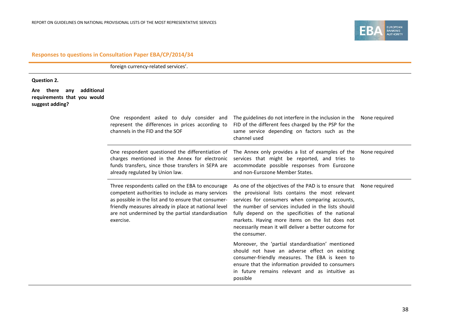foreign currency-related services'.

#### **Question 2.**

**Are there any additional requirements that you would suggest adding?**

| One respondent asked to duly consider and<br>represent the differences in prices according to<br>channels in the FID and the SOF                                                                                                                                                        | The guidelines do not interfere in the inclusion in the<br>FID of the different fees charged by the PSP for the<br>same service depending on factors such as the<br>channel used                                                                                                                                                                                                                                    | None required |
|-----------------------------------------------------------------------------------------------------------------------------------------------------------------------------------------------------------------------------------------------------------------------------------------|---------------------------------------------------------------------------------------------------------------------------------------------------------------------------------------------------------------------------------------------------------------------------------------------------------------------------------------------------------------------------------------------------------------------|---------------|
| One respondent questioned the differentiation of<br>charges mentioned in the Annex for electronic<br>funds transfers, since those transfers in SEPA are<br>already regulated by Union law.                                                                                              | The Annex only provides a list of examples of the<br>services that might be reported, and tries to<br>accommodate possible responses from Eurozone<br>and non-Eurozone Member States.                                                                                                                                                                                                                               | None required |
| Three respondents called on the EBA to encourage<br>competent authorities to include as many services<br>as possible in the list and to ensure that consumer-<br>friendly measures already in place at national level<br>are not undermined by the partial standardisation<br>exercise. | As one of the objectives of the PAD is to ensure that None required<br>the provisional lists contains the most relevant<br>services for consumers when comparing accounts,<br>the number of services included in the lists should<br>fully depend on the specificities of the national<br>markets. Having more items on the list does not<br>necessarily mean it will deliver a better outcome for<br>the consumer. |               |
|                                                                                                                                                                                                                                                                                         | Moreover, the 'partial standardisation' mentioned<br>should not have an adverse effect on existing<br>consumer-friendly measures. The EBA is keen to<br>ensure that the information provided to consumers<br>in future remains relevant and as intuitive as<br>possible                                                                                                                                             |               |

EUROPEAN<br>BANKING<br>AUTHORITY

EB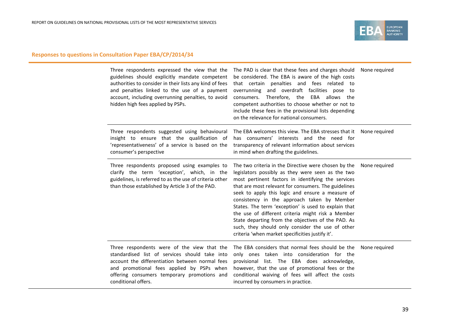

| Three respondents expressed the view that the<br>guidelines should explicitly mandate competent<br>authorities to consider in their lists any kind of fees<br>and penalties linked to the use of a payment<br>account, including overrunning penalties, to avoid<br>hidden high fees applied by PSPs. | The PAD is clear that these fees and charges should<br>be considered. The EBA is aware of the high costs<br>that certain penalties and fees related to<br>overrunning and overdraft facilities pose to<br>consumers. Therefore, the EBA allows the<br>competent authorities to choose whether or not to<br>include these fees in the provisional lists depending<br>on the relevance for national consumers.                                                                                                                                                                                          | None reguired |
|-------------------------------------------------------------------------------------------------------------------------------------------------------------------------------------------------------------------------------------------------------------------------------------------------------|-------------------------------------------------------------------------------------------------------------------------------------------------------------------------------------------------------------------------------------------------------------------------------------------------------------------------------------------------------------------------------------------------------------------------------------------------------------------------------------------------------------------------------------------------------------------------------------------------------|---------------|
| Three respondents suggested using behavioural<br>insight to ensure that the qualification of<br>'representativeness' of a service is based on the<br>consumer's perspective                                                                                                                           | The EBA welcomes this view. The EBA stresses that it<br>has consumers' interests and the need for<br>transparency of relevant information about services<br>in mind when drafting the guidelines.                                                                                                                                                                                                                                                                                                                                                                                                     | None required |
| Three respondents proposed using examples to<br>clarify the term 'exception', which, in the<br>guidelines, is referred to as the use of criteria other<br>than those established by Article 3 of the PAD.                                                                                             | The two criteria in the Directive were chosen by the<br>legislators possibly as they were seen as the two<br>most pertinent factors in identifying the services<br>that are most relevant for consumers. The guidelines<br>seek to apply this logic and ensure a measure of<br>consistency in the approach taken by Member<br>States. The term 'exception' is used to explain that<br>the use of different criteria might risk a Member<br>State departing from the objectives of the PAD. As<br>such, they should only consider the use of other<br>criteria 'when market specificities justify it'. | None required |
| Three respondents were of the view that the<br>standardised list of services should take into<br>account the differentiation between normal fees<br>and promotional fees applied by PSPs when<br>offering consumers temporary promotions and<br>conditional offers.                                   | The EBA considers that normal fees should be the<br>only ones taken into consideration for the<br>provisional list. The EBA does acknowledge,<br>however, that the use of promotional fees or the<br>conditional waiving of fees will affect the costs<br>incurred by consumers in practice.                                                                                                                                                                                                                                                                                                          | None required |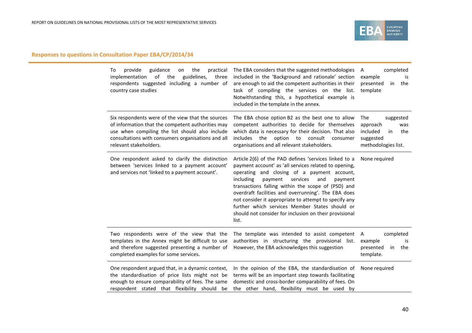

| guidance<br>provide<br>the<br>practical<br>To<br>on<br>of<br>the<br>guidelines,<br>implementation<br>three<br>respondents suggested including a number of<br>country case studies                                                         | The EBA considers that the suggested methodologies<br>included in the 'Background and rationale' section<br>are enough to aid the competent authorities in their<br>task of compiling the services on the list.<br>Notwithstanding this, a hypothetical example is<br>included in the template in the annex.                                                                                                                                                                                                   | completed<br>A<br>example<br>is<br>presented<br>the<br>in<br>template                            |
|-------------------------------------------------------------------------------------------------------------------------------------------------------------------------------------------------------------------------------------------|----------------------------------------------------------------------------------------------------------------------------------------------------------------------------------------------------------------------------------------------------------------------------------------------------------------------------------------------------------------------------------------------------------------------------------------------------------------------------------------------------------------|--------------------------------------------------------------------------------------------------|
| Six respondents were of the view that the sources<br>of information that the competent authorities may<br>use when compiling the list should also include<br>consultations with consumers organisations and all<br>relevant stakeholders. | The EBA chose option B2 as the best one to allow<br>competent authorities to decide for themselves<br>which data is necessary for their decision. That also<br>option<br>includes<br>the<br>consult<br>to<br>consumer<br>organisations and all relevant stakeholders.                                                                                                                                                                                                                                          | The<br>suggested<br>approach<br>was<br>included<br>in<br>the<br>suggested<br>methodologies list. |
| One respondent asked to clarify the distinction<br>between 'services linked to a payment account'<br>and services not 'linked to a payment account'.                                                                                      | Article 2(6) of the PAD defines 'services linked to a<br>payment account' as 'all services related to opening,<br>operating and closing of a payment account,<br>including<br>payment<br>services<br>and<br>payment<br>transactions falling within the scope of (PSD) and<br>overdraft facilities and overrunning'. The EBA does<br>not consider it appropriate to attempt to specify any<br>further which services Member States should or<br>should not consider for inclusion on their provisional<br>list. | None required                                                                                    |
| Two respondents were of the view that the<br>templates in the Annex might be difficult to use<br>and therefore suggested presenting a number of<br>completed examples for some services.                                                  | The template was intended to assist competent<br>authorities in structuring the provisional list.<br>However, the EBA acknowledges this suggestion                                                                                                                                                                                                                                                                                                                                                             | completed<br>A<br>example<br>is<br>presented<br>the<br>in<br>template.                           |
| One respondent argued that, in a dynamic context,<br>the standardisation of price lists might not be<br>enough to ensure comparability of fees. The same<br>respondent stated that flexibility should be                                  | In the opinion of the EBA, the standardisation of<br>terms will be an important step towards facilitating<br>domestic and cross-border comparability of fees. On<br>the other hand, flexibility must be used by                                                                                                                                                                                                                                                                                                | None required                                                                                    |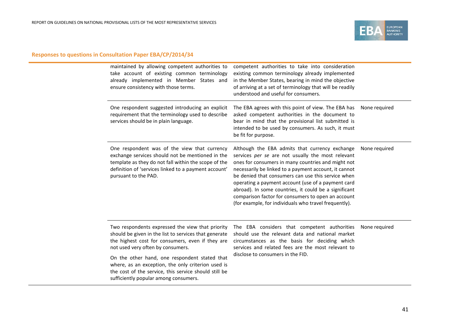

| maintained by allowing competent authorities to<br>take account of existing common terminology<br>already implemented in Member States and<br>ensure consistency with those terms.                                                                                                                                                                                                                          | competent authorities to take into consideration<br>existing common terminology already implemented<br>in the Member States, bearing in mind the objective<br>of arriving at a set of terminology that will be readily<br>understood and useful for consumers.                                                                                                                                                                                                                                         |               |
|-------------------------------------------------------------------------------------------------------------------------------------------------------------------------------------------------------------------------------------------------------------------------------------------------------------------------------------------------------------------------------------------------------------|--------------------------------------------------------------------------------------------------------------------------------------------------------------------------------------------------------------------------------------------------------------------------------------------------------------------------------------------------------------------------------------------------------------------------------------------------------------------------------------------------------|---------------|
| One respondent suggested introducing an explicit<br>requirement that the terminology used to describe<br>services should be in plain language.                                                                                                                                                                                                                                                              | The EBA agrees with this point of view. The EBA has<br>asked competent authorities in the document to<br>bear in mind that the provisional list submitted is<br>intended to be used by consumers. As such, it must<br>be fit for purpose.                                                                                                                                                                                                                                                              | None required |
| One respondent was of the view that currency<br>exchange services should not be mentioned in the<br>template as they do not fall within the scope of the<br>definition of 'services linked to a payment account'<br>pursuant to the PAD.                                                                                                                                                                    | Although the EBA admits that currency exchange<br>services per se are not usually the most relevant<br>ones for consumers in many countries and might not<br>necessarily be linked to a payment account, it cannot<br>be denied that consumers can use this service when<br>operating a payment account (use of a payment card<br>abroad). In some countries, it could be a significant<br>comparison factor for consumers to open an account<br>(for example, for individuals who travel frequently). | None required |
| Two respondents expressed the view that priority<br>should be given in the list to services that generate<br>the highest cost for consumers, even if they are<br>not used very often by consumers.<br>On the other hand, one respondent stated that<br>where, as an exception, the only criterion used is<br>the cost of the service, this service should still be<br>sufficiently popular among consumers. | The EBA considers that competent authorities<br>should use the relevant data and national market<br>circumstances as the basis for deciding which<br>services and related fees are the most relevant to<br>disclose to consumers in the FID.                                                                                                                                                                                                                                                           | None required |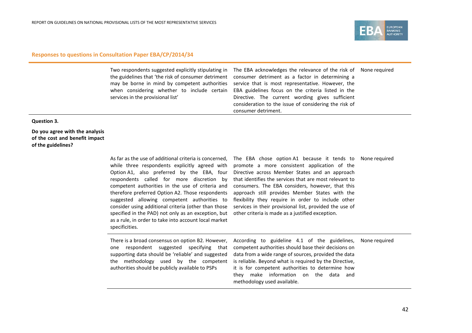

| services in the provisional list' | Two respondents suggested explicitly stipulating in The EBA acknowledges the relevance of the risk of None required<br>the guidelines that 'the risk of consumer detriment consumer detriment as a factor in determining a<br>may be borne in mind by competent authorities service that is most representative. However, the<br>when considering whether to include certain EBA guidelines focus on the criteria listed in the<br>Directive. The current wording gives sufficient<br>consideration to the issue of considering the risk of<br>consumer detriment. |  |
|-----------------------------------|--------------------------------------------------------------------------------------------------------------------------------------------------------------------------------------------------------------------------------------------------------------------------------------------------------------------------------------------------------------------------------------------------------------------------------------------------------------------------------------------------------------------------------------------------------------------|--|
|-----------------------------------|--------------------------------------------------------------------------------------------------------------------------------------------------------------------------------------------------------------------------------------------------------------------------------------------------------------------------------------------------------------------------------------------------------------------------------------------------------------------------------------------------------------------------------------------------------------------|--|

#### **Question 3.**

**Do you agree with the analysis of the cost and benefit impact of the guidelines?**

> As far as the use of additional criteria is concerned, The EBA chose option A1 because it tends to while three respondents explicitly agreed with Option A1, also preferred by the EBA, four respondents called for more discretion by competent authorities in the use of criteria and therefore preferred Option A2. Those respondents suggested allowing competent authorities to consider using additional criteria (other than those specified in the PAD) not only as an exception, but as a rule, in order to take into account local market specificities.

promote a more consistent application of the Directive across Member States and an approach that identifies the services that are most relevant to consumers. The EBA considers, however, that this approach still provides Member States with the flexibility they require in order to include other services in their provisional list, provided the use of other criteria is made as a justified exception.

| None required |  |  |
|---------------|--|--|
|---------------|--|--|

|                                                  | There is a broad consensus on option B2. However, According to guideline 4.1 of the guidelines, None required |
|--------------------------------------------------|---------------------------------------------------------------------------------------------------------------|
|                                                  | one respondent suggested specifying that competent authorities should base their decisions on                 |
|                                                  | supporting data should be 'reliable' and suggested data from a wide range of sources, provided the data       |
|                                                  | the methodology used by the competent is reliable. Beyond what is required by the Directive,                  |
| authorities should be publicly available to PSPs | it is for competent authorities to determine how                                                              |
|                                                  | they make information on the data and                                                                         |
|                                                  | methodology used available.                                                                                   |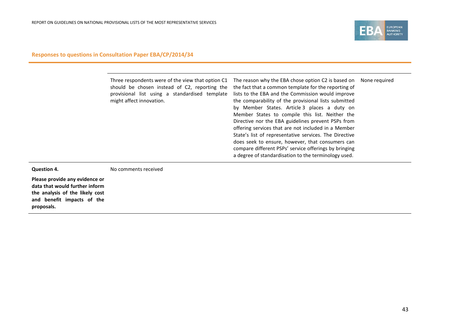

**Please provide any evidence or data that would further inform the analysis of the likely cost and benefit impacts of the proposals.**

**Question 4.**